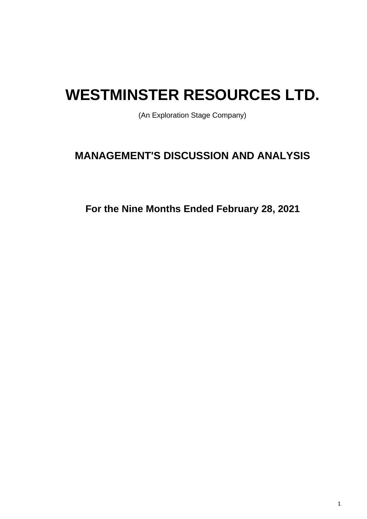# **WESTMINSTER RESOURCES LTD.**

(An Exploration Stage Company)

## **MANAGEMENT'S DISCUSSION AND ANALYSIS**

**For the Nine Months Ended February 28, 2021**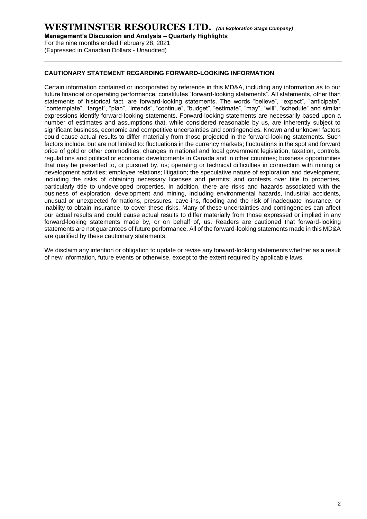**Management's Discussion and Analysis – Quarterly Highlights**

For the nine months ended February 28, 2021 (Expressed in Canadian Dollars - Unaudited)

### **CAUTIONARY STATEMENT REGARDING FORWARD-LOOKING INFORMATION**

Certain information contained or incorporated by reference in this MD&A, including any information as to our future financial or operating performance, constitutes "forward-looking statements". All statements, other than statements of historical fact, are forward-looking statements. The words "believe", "expect", "anticipate", "contemplate", "target", "plan", "intends", "continue", "budget", "estimate", "may", "will", "schedule" and similar expressions identify forward-looking statements. Forward-looking statements are necessarily based upon a number of estimates and assumptions that, while considered reasonable by us, are inherently subject to significant business, economic and competitive uncertainties and contingencies. Known and unknown factors could cause actual results to differ materially from those projected in the forward-looking statements. Such factors include, but are not limited to: fluctuations in the currency markets; fluctuations in the spot and forward price of gold or other commodities; changes in national and local government legislation, taxation, controls, regulations and political or economic developments in Canada and in other countries; business opportunities that may be presented to, or pursued by, us; operating or technical difficulties in connection with mining or development activities; employee relations; litigation; the speculative nature of exploration and development, including the risks of obtaining necessary licenses and permits; and contests over title to properties, particularly title to undeveloped properties. In addition, there are risks and hazards associated with the business of exploration, development and mining, including environmental hazards, industrial accidents, unusual or unexpected formations, pressures, cave-ins, flooding and the risk of inadequate insurance, or inability to obtain insurance, to cover these risks. Many of these uncertainties and contingencies can affect our actual results and could cause actual results to differ materially from those expressed or implied in any forward-looking statements made by, or on behalf of, us. Readers are cautioned that forward-looking statements are not guarantees of future performance. All of the forward-looking statements made in this MD&A are qualified by these cautionary statements.

We disclaim any intention or obligation to update or revise any forward-looking statements whether as a result of new information, future events or otherwise, except to the extent required by applicable laws.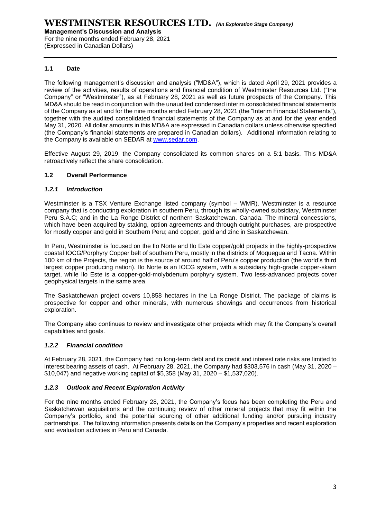**Management's Discussion and Analysis** 

For the nine months ended February 28, 2021 (Expressed in Canadian Dollars)

### **1.1 Date**

The following management's discussion and analysis ("MD&A"), which is dated April 29, 2021 provides a review of the activities, results of operations and financial condition of Westminster Resources Ltd. ("the Company" or "Westminster"), as at February 28, 2021 as well as future prospects of the Company. This MD&A should be read in conjunction with the unaudited condensed interim consolidated financial statements of the Company as at and for the nine months ended February 28, 2021 (the "Interim Financial Statements"), together with the audited consolidated financial statements of the Company as at and for the year ended May 31, 2020. All dollar amounts in this MD&A are expressed in Canadian dollars unless otherwise specified (the Company's financial statements are prepared in Canadian dollars). Additional information relating to the Company is available on SEDAR at [www.sedar.com.](http://www.sedar.com/)

Effective August 29, 2019, the Company consolidated its common shares on a 5:1 basis. This MD&A retroactively reflect the share consolidation.

### **1.2 Overall Performance**

### *1.2.1 Introduction*

Westminster is a TSX Venture Exchange listed company (symbol – WMR). Westminster is a resource company that is conducting exploration in southern Peru, through its wholly-owned subsidiary, Westminster Peru S.A.C; and in the La Ronge District of northern Saskatchewan, Canada. The mineral concessions, which have been acquired by staking, option agreements and through outright purchases, are prospective for mostly copper and gold in Southern Peru; and copper, gold and zinc in Saskatchewan.

In Peru, Westminster is focused on the Ilo Norte and Ilo Este copper/gold projects in the highly-prospective coastal IOCG/Porphyry Copper belt of southern Peru, mostly in the districts of Moquegua and Tacna. Within 100 km of the Projects, the region is the source of around half of Peru's copper production (the world's third largest copper producing nation). Ilo Norte is an IOCG system, with a subsidiary high-grade copper-skarn target, while Ilo Este is a copper-gold-molybdenum porphyry system. Two less-advanced projects cover geophysical targets in the same area.

The Saskatchewan project covers 10,858 hectares in the La Ronge District. The package of claims is prospective for copper and other minerals, with numerous showings and occurrences from historical exploration.

The Company also continues to review and investigate other projects which may fit the Company's overall capabilities and goals.

### *1.2.2 Financial condition*

At February 28, 2021, the Company had no long-term debt and its credit and interest rate risks are limited to interest bearing assets of cash. At February 28, 2021, the Company had \$303,576 in cash (May 31, 2020 – \$10,047) and negative working capital of \$5,358 (May 31, 2020 – \$1,537,020).

### *1.2.3 Outlook and Recent Exploration Activity*

For the nine months ended February 28, 2021, the Company's focus has been completing the Peru and Saskatchewan acquisitions and the continuing review of other mineral projects that may fit within the Company's portfolio, and the potential sourcing of other additional funding and/or pursuing industry partnerships. The following information presents details on the Company's properties and recent exploration and evaluation activities in Peru and Canada.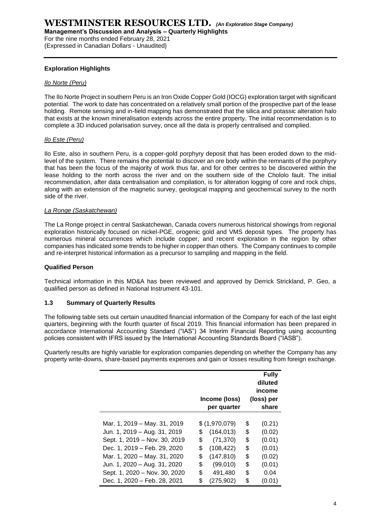**Management's Discussion and Analysis – Quarterly Highlights**

For the nine months ended February 28, 2021 (Expressed in Canadian Dollars - Unaudited)

### **Exploration Highlights**

### *Ilo Norte (Peru)*

The Ilo Norte Project in southern Peru is an Iron Oxide Copper Gold (IOCG) exploration target with significant potential. The work to date has concentrated on a relatively small portion of the prospective part of the lease holding. Remote sensing and in-field mapping has demonstrated that the silica and potassic alteration halo that exists at the known mineralisation extends across the entire property. The initial recommendation is to complete a 3D induced polarisation survey, once all the data is properly centralised and complied.

### *Ilo Este (Peru)*

Ilo Este, also in southern Peru, is a copper-gold porphyry deposit that has been eroded down to the midlevel of the system. There remains the potential to discover an ore body within the remnants of the porphyry that has been the focus of the majority of work thus far, and for other centres to be discovered within the lease holding to the north across the river and on the southern side of the Chololo fault. The initial recommendation, after data centralisation and compilation, is for alteration logging of core and rock chips, along with an extension of the magnetic survey, geological mapping and geochemical survey to the north side of the river.

### *La Ronge (Saskatchewan)*

The La Ronge project in central Saskatchewan, Canada covers numerous historical showings from regional exploration historically focused on nickel-PGE, orogenic gold and VMS deposit types. The property has numerous mineral occurrences which include copper, and recent exploration in the region by other companies has indicated some trends to be higher in copper than others. The Company continues to compile and re-interpret historical information as a precursor to sampling and mapping in the field.

### **Qualified Person**

Technical information in this MD&A has been reviewed and approved by Derrick Strickland, P. Geo, a qualified person as defined in National Instrument 43-101.

### **1.3 Summary of Quarterly Results**

The following table sets out certain unaudited financial information of the Company for each of the last eight quarters, beginning with the fourth quarter of fiscal 2019. This financial information has been prepared in accordance International Accounting Standard ("IAS") 34 Interim Financial Reporting using accounting policies consistent with IFRS issued by the International Accounting Standards Board ("IASB").

Quarterly results are highly variable for exploration companies depending on whether the Company has any property write-downs, share-based payments expenses and gain or losses resulting from foreign exchange.

|                               | Income (loss)<br>per quarter | <b>Fully</b><br>diluted<br>income<br>(loss) per<br>share |
|-------------------------------|------------------------------|----------------------------------------------------------|
| Mar. 1, 2019 - May. 31, 2019  | \$(1,970,079)                | \$<br>(0.21)                                             |
| Jun. 1, 2019 - Aug. 31, 2019  | \$<br>(164, 013)             | \$<br>(0.02)                                             |
| Sept. 1, 2019 - Nov. 30, 2019 | \$<br>(71, 370)              | \$<br>(0.01)                                             |
| Dec. 1, 2019 - Feb. 29, 2020  | \$<br>(108, 422)             | \$<br>(0.01)                                             |
| Mar. 1, 2020 - May. 31, 2020  | \$<br>(147, 810)             | \$<br>(0.02)                                             |
| Jun. 1, 2020 - Aug. 31, 2020  | \$<br>(99,010)               | \$<br>(0.01)                                             |
| Sept. 1, 2020 - Nov. 30, 2020 | \$<br>491,480                | \$<br>0.04                                               |
| Dec. 1, 2020 - Feb. 28, 2021  | \$<br>(275,902)              | \$<br>(0.01)                                             |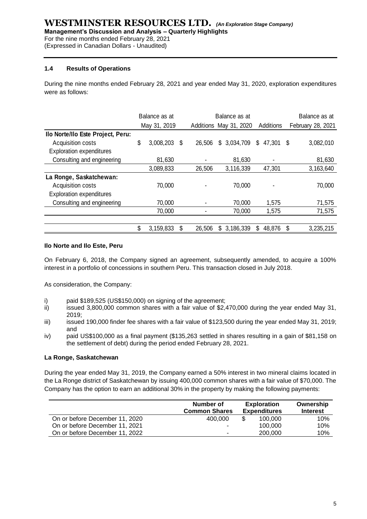**Management's Discussion and Analysis – Quarterly Highlights**

For the nine months ended February 28, 2021

(Expressed in Canadian Dollars - Unaudited)

### **1.4 Results of Operations**

During the nine months ended February 28, 2021 and year ended May 31, 2020, exploration expenditures were as follows:

|                                   | Balance as at |              |   | Balance as at |                        | Balance as at |                |                   |           |
|-----------------------------------|---------------|--------------|---|---------------|------------------------|---------------|----------------|-------------------|-----------|
|                                   | May 31, 2019  |              |   |               | Additions May 31, 2020 | Additions     |                | February 28, 2021 |           |
| Ilo Norte/Ilo Este Project, Peru: |               |              |   |               |                        |               |                |                   |           |
| Acquisition costs                 | \$            | 3,008,203 \$ |   | 26,506        |                        | \$3,034,709   | \$47,301       | - \$              | 3,082,010 |
| <b>Exploration expenditures</b>   |               |              |   |               |                        |               |                |                   |           |
| Consulting and engineering        |               | 81,630       |   |               |                        | 81,630        | $\blacksquare$ |                   | 81,630    |
|                                   |               | 3,089,833    |   | 26,506        |                        | 3,116,339     | 47,301         |                   | 3,163,640 |
| La Ronge, Saskatchewan:           |               |              |   |               |                        |               |                |                   |           |
| Acquisition costs                 |               | 70,000       |   |               |                        | 70,000        | $\blacksquare$ |                   | 70,000    |
| <b>Exploration expenditures</b>   |               |              |   |               |                        |               |                |                   |           |
| Consulting and engineering        |               | 70,000       |   |               |                        | 70,000        | 1,575          |                   | 71,575    |
|                                   |               | 70,000       |   |               |                        | 70,000        | 1,575          |                   | 71,575    |
|                                   |               |              |   |               |                        |               |                |                   |           |
|                                   | \$            | 3,159,833    | S | 26,506        | \$                     | 3,186,339     | \$<br>48,876   | \$                | 3,235,215 |

### **Ilo Norte and Ilo Este, Peru**

On February 6, 2018, the Company signed an agreement, subsequently amended, to acquire a 100% interest in a portfolio of concessions in southern Peru. This transaction closed in July 2018.

As consideration, the Company:

- i) paid \$189,525 (US\$150,000) on signing of the agreement;
- $\dot{i}$  ii) issued 3,800,000 common shares with a fair value of \$2,470,000 during the year ended May 31, 2019;
- iii) issued 190,000 finder fee shares with a fair value of \$123,500 during the year ended May 31, 2019; and
- iv) paid US\$100,000 as a final payment (\$135,263 settled in shares resulting in a gain of \$81,158 on the settlement of debt) during the period ended February 28, 2021.

### **La Ronge, Saskatchewan**

During the year ended May 31, 2019, the Company earned a 50% interest in two mineral claims located in the La Ronge district of Saskatchewan by issuing 400,000 common shares with a fair value of \$70,000. The Company has the option to earn an additional 30% in the property by making the following payments:

|                                | Number of<br><b>Common Shares</b> | <b>Exploration</b><br><b>Expenditures</b> | Ownership<br><b>Interest</b> |
|--------------------------------|-----------------------------------|-------------------------------------------|------------------------------|
| On or before December 11, 2020 | 400.000                           | 100,000                                   | 10%                          |
| On or before December 11, 2021 | ۰                                 | 100.000                                   | 10%                          |
| On or before December 11, 2022 | ۰                                 | 200,000                                   | 10%                          |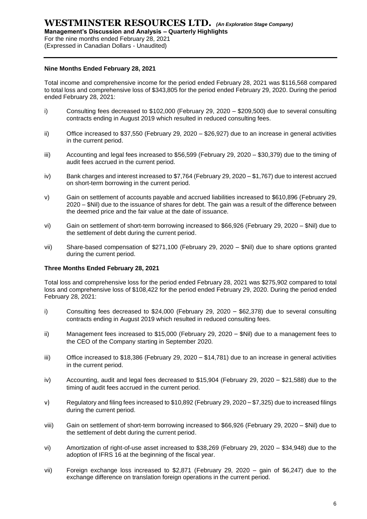**Management's Discussion and Analysis – Quarterly Highlights**

For the nine months ended February 28, 2021 (Expressed in Canadian Dollars - Unaudited)

### **Nine Months Ended February 28, 2021**

Total income and comprehensive income for the period ended February 28, 2021 was \$116,568 compared to total loss and comprehensive loss of \$343,805 for the period ended February 29, 2020. During the period ended February 28, 2021:

- i) Consulting fees decreased to \$102,000 (February 29, 2020 \$209,500) due to several consulting contracts ending in August 2019 which resulted in reduced consulting fees.
- ii) Office increased to \$37,550 (February 29, 2020 \$26,927) due to an increase in general activities in the current period.
- iii) Accounting and legal fees increased to \$56,599 (February 29, 2020 \$30,379) due to the timing of audit fees accrued in the current period.
- iv) Bank charges and interest increased to \$7,764 (February 29, 2020 \$1,767) due to interest accrued on short-term borrowing in the current period.
- v) Gain on settlement of accounts payable and accrued liabilities increased to \$610,896 (February 29, 2020 – \$Nil) due to the issuance of shares for debt. The gain was a result of the difference between the deemed price and the fair value at the date of issuance.
- vi) Gain on settlement of short-term borrowing increased to \$66,926 (February 29, 2020 \$Nil) due to the settlement of debt during the current period.
- vii) Share-based compensation of \$271,100 (February 29, 2020 \$Nil) due to share options granted during the current period.

### **Three Months Ended February 28, 2021**

Total loss and comprehensive loss for the period ended February 28, 2021 was \$275,902 compared to total loss and comprehensive loss of \$108,422 for the period ended February 29, 2020. During the period ended February 28, 2021:

- i) Consulting fees decreased to \$24,000 (February 29, 2020 \$62,378) due to several consulting contracts ending in August 2019 which resulted in reduced consulting fees.
- ii) Management fees increased to \$15,000 (February 29, 2020 \$Nil) due to a management fees to the CEO of the Company starting in September 2020.
- iii) Office increased to \$18,386 (February 29, 2020 \$14,781) due to an increase in general activities in the current period.
- iv) Accounting, audit and legal fees decreased to \$15,904 (February 29, 2020 \$21,588) due to the timing of audit fees accrued in the current period.
- v) Regulatory and filing fees increased to \$10,892 (February 29, 2020 \$7,325) due to increased filings during the current period.
- viii) Gain on settlement of short-term borrowing increased to \$66,926 (February 29, 2020 \$Nil) due to the settlement of debt during the current period.
- vi) Amortization of right-of-use asset increased to \$38,269 (February 29, 2020 \$34,948) due to the adoption of IFRS 16 at the beginning of the fiscal year.
- vii) Foreign exchange loss increased to \$2,871 (February 29, 2020 gain of \$6,247) due to the exchange difference on translation foreign operations in the current period.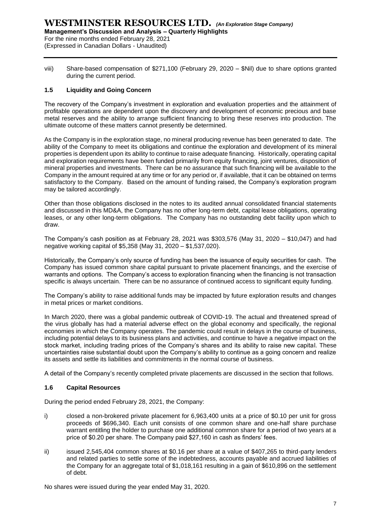**Management's Discussion and Analysis – Quarterly Highlights**

For the nine months ended February 28, 2021 (Expressed in Canadian Dollars - Unaudited)

viii) Share-based compensation of \$271,100 (February 29, 2020 – \$Nil) due to share options granted during the current period.

### **1.5 Liquidity and Going Concern**

The recovery of the Company's investment in exploration and evaluation properties and the attainment of profitable operations are dependent upon the discovery and development of economic precious and base metal reserves and the ability to arrange sufficient financing to bring these reserves into production. The ultimate outcome of these matters cannot presently be determined.

As the Company is in the exploration stage, no mineral producing revenue has been generated to date. The ability of the Company to meet its obligations and continue the exploration and development of its mineral properties is dependent upon its ability to continue to raise adequate financing. Historically, operating capital and exploration requirements have been funded primarily from equity financing, joint ventures, disposition of mineral properties and investments. There can be no assurance that such financing will be available to the Company in the amount required at any time or for any period or, if available, that it can be obtained on terms satisfactory to the Company. Based on the amount of funding raised, the Company's exploration program may be tailored accordingly.

Other than those obligations disclosed in the notes to its audited annual consolidated financial statements and discussed in this MD&A, the Company has no other long-term debt, capital lease obligations, operating leases, or any other long-term obligations. The Company has no outstanding debt facility upon which to draw.

The Company's cash position as at February 28, 2021 was \$303,576 (May 31, 2020 – \$10,047) and had negative working capital of \$5,358 (May 31, 2020 – \$1,537,020).

Historically, the Company's only source of funding has been the issuance of equity securities for cash. The Company has issued common share capital pursuant to private placement financings, and the exercise of warrants and options. The Company's access to exploration financing when the financing is not transaction specific is always uncertain. There can be no assurance of continued access to significant equity funding.

The Company's ability to raise additional funds may be impacted by future exploration results and changes in metal prices or market conditions.

In March 2020, there was a global pandemic outbreak of COVID-19. The actual and threatened spread of the virus globally has had a material adverse effect on the global economy and specifically, the regional economies in which the Company operates. The pandemic could result in delays in the course of business, including potential delays to its business plans and activities, and continue to have a negative impact on the stock market, including trading prices of the Company's shares and its ability to raise new capital. These uncertainties raise substantial doubt upon the Company's ability to continue as a going concern and realize its assets and settle its liabilities and commitments in the normal course of business.

A detail of the Company's recently completed private placements are discussed in the section that follows.

### **1.6 Capital Resources**

During the period ended February 28, 2021, the Company:

- i) closed a non-brokered private placement for 6,963,400 units at a price of \$0.10 per unit for gross proceeds of \$696,340. Each unit consists of one common share and one-half share purchase warrant entitling the holder to purchase one additional common share for a period of two years at a price of \$0.20 per share. The Company paid \$27,160 in cash as finders' fees.
- ii) issued 2,545,404 common shares at \$0.16 per share at a value of \$407,265 to third-party lenders and related parties to settle some of the indebtedness, accounts payable and accrued liabilities of the Company for an aggregate total of \$1,018,161 resulting in a gain of \$610,896 on the settlement of debt.

No shares were issued during the year ended May 31, 2020.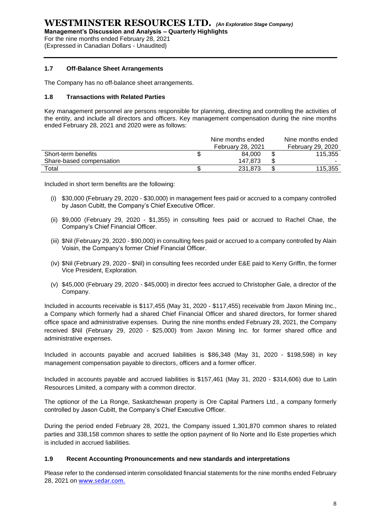**Management's Discussion and Analysis – Quarterly Highlights**

For the nine months ended February 28, 2021 (Expressed in Canadian Dollars - Unaudited)

### **1.7 Off-Balance Sheet Arrangements**

The Company has no off-balance sheet arrangements.

### **1.8 Transactions with Related Parties**

Key management personnel are persons responsible for planning, directing and controlling the activities of the entity, and include all directors and officers. Key management compensation during the nine months ended February 28, 2021 and 2020 were as follows:

|                          | Nine months ended |   | Nine months ended |
|--------------------------|-------------------|---|-------------------|
|                          | February 28, 2021 |   | February 29, 2020 |
| Short-term benefits      | 84.000            | S | 115.355           |
| Share-based compensation | 147.873           |   |                   |
| Total                    | 231.873           |   | 115,355           |

Included in short term benefits are the following:

- (i) \$30,000 (February 29, 2020 \$30,000) in management fees paid or accrued to a company controlled by Jason Cubitt, the Company's Chief Executive Officer.
- (ii) \$9,000 (February 29, 2020 \$1,355) in consulting fees paid or accrued to Rachel Chae, the Company's Chief Financial Officer.
- (iii) \$Nil (February 29, 2020 \$90,000) in consulting fees paid or accrued to a company controlled by Alain Voisin, the Company's former Chief Financial Officer.
- (iv) \$Nil (February 29, 2020 \$Nil) in consulting fees recorded under E&E paid to Kerry Griffin, the former Vice President, Exploration.
- (v) \$45,000 (February 29, 2020 \$45,000) in director fees accrued to Christopher Gale, a director of the Company.

Included in accounts receivable is \$117,455 (May 31, 2020 - \$117,455) receivable from Jaxon Mining Inc., a Company which formerly had a shared Chief Financial Officer and shared directors, for former shared office space and administrative expenses. During the nine months ended February 28, 2021, the Company received \$Nil (February 29, 2020 - \$25,000) from Jaxon Mining Inc. for former shared office and administrative expenses.

Included in accounts payable and accrued liabilities is \$86,348 (May 31, 2020 - \$198,598) in key management compensation payable to directors, officers and a former officer.

Included in accounts payable and accrued liabilities is \$157,461 (May 31, 2020 - \$314,606) due to Latin Resources Limited, a company with a common director.

The optionor of the La Ronge, Saskatchewan property is Ore Capital Partners Ltd., a company formerly controlled by Jason Cubitt, the Company's Chief Executive Officer.

During the period ended February 28, 2021, the Company issued 1,301,870 common shares to related parties and 338,158 common shares to settle the option payment of Ilo Norte and Ilo Este properties which is included in accrued liabilities.

### **1.9 Recent Accounting Pronouncements and new standards and interpretations**

Please refer to the condensed interim consolidated financial statements for the nine months ended February 28, 2021 on [www.sedar.com.](http://www.sedar.com/)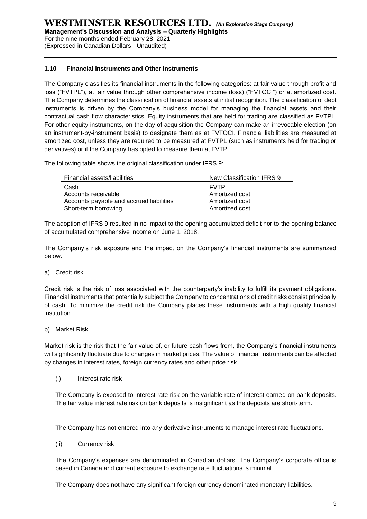**Management's Discussion and Analysis – Quarterly Highlights**

For the nine months ended February 28, 2021 (Expressed in Canadian Dollars - Unaudited)

### **1.10 Financial Instruments and Other Instruments**

The Company classifies its financial instruments in the following categories: at fair value through profit and loss ("FVTPL"), at fair value through other comprehensive income (loss) ("FVTOCI") or at amortized cost. The Company determines the classification of financial assets at initial recognition. The classification of debt instruments is driven by the Company's business model for managing the financial assets and their contractual cash flow characteristics. Equity instruments that are held for trading are classified as FVTPL. For other equity instruments, on the day of acquisition the Company can make an irrevocable election (on an instrument-by-instrument basis) to designate them as at FVTOCI. Financial liabilities are measured at amortized cost, unless they are required to be measured at FVTPL (such as instruments held for trading or derivatives) or if the Company has opted to measure them at FVTPL.

The following table shows the original classification under IFRS 9:

| Financial assets/liabilities             | New Classification IFRS 9 |
|------------------------------------------|---------------------------|
| Cash                                     | <b>FVTPL</b>              |
| Accounts receivable                      | Amortized cost            |
| Accounts payable and accrued liabilities | Amortized cost            |
| Short-term borrowing                     | Amortized cost            |

The adoption of IFRS 9 resulted in no impact to the opening accumulated deficit nor to the opening balance of accumulated comprehensive income on June 1, 2018.

The Company's risk exposure and the impact on the Company's financial instruments are summarized below.

a) Credit risk

Credit risk is the risk of loss associated with the counterparty's inability to fulfill its payment obligations. Financial instruments that potentially subject the Company to concentrations of credit risks consist principally of cash. To minimize the credit risk the Company places these instruments with a high quality financial institution.

b) Market Risk

Market risk is the risk that the fair value of, or future cash flows from, the Company's financial instruments will significantly fluctuate due to changes in market prices. The value of financial instruments can be affected by changes in interest rates, foreign currency rates and other price risk.

(i) Interest rate risk

The Company is exposed to interest rate risk on the variable rate of interest earned on bank deposits. The fair value interest rate risk on bank deposits is insignificant as the deposits are short‐term.

The Company has not entered into any derivative instruments to manage interest rate fluctuations.

(ii) Currency risk

The Company's expenses are denominated in Canadian dollars. The Company's corporate office is based in Canada and current exposure to exchange rate fluctuations is minimal.

The Company does not have any significant foreign currency denominated monetary liabilities.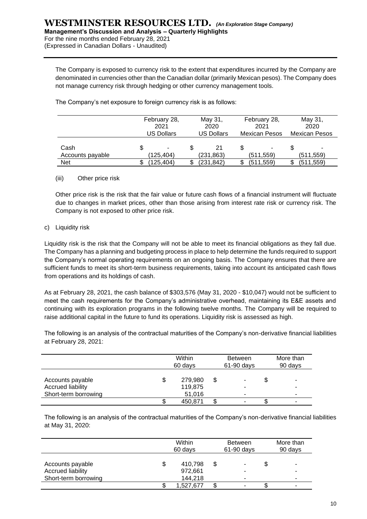**Management's Discussion and Analysis – Quarterly Highlights**

For the nine months ended February 28, 2021 (Expressed in Canadian Dollars - Unaudited)

The Company is exposed to currency risk to the extent that expenditures incurred by the Company are denominated in currencies other than the Canadian dollar (primarily Mexican pesos). The Company does not manage currency risk through hedging or other currency management tools.

|                          | February 28,<br>2021<br><b>US Dollars</b> | May 31,<br>2020<br><b>US Dollars</b> | February 28,<br>2021<br><b>Mexican Pesos</b> | May 31,<br>2020<br>Mexican Pesos |
|--------------------------|-------------------------------------------|--------------------------------------|----------------------------------------------|----------------------------------|
| Cash<br>Accounts payable | (125,404)                                 | 21<br>(231,863)                      | ۰<br>(511,559)                               | (511, 559)                       |
| Net                      | (125,404)                                 | (231,842)                            | (511,559)                                    | (511, 559)                       |

The Company's net exposure to foreign currency risk is as follows:

#### (iii) Other price risk

Other price risk is the risk that the fair value or future cash flows of a financial instrument will fluctuate due to changes in market prices, other than those arising from interest rate risk or currency risk. The Company is not exposed to other price risk.

### c) Liquidity risk

Liquidity risk is the risk that the Company will not be able to meet its financial obligations as they fall due. The Company has a planning and budgeting process in place to help determine the funds required to support the Company's normal operating requirements on an ongoing basis. The Company ensures that there are sufficient funds to meet its short-term business requirements, taking into account its anticipated cash flows from operations and its holdings of cash.

As at February 28, 2021, the cash balance of \$303,576 (May 31, 2020 - \$10,047) would not be sufficient to meet the cash requirements for the Company's administrative overhead, maintaining its E&E assets and continuing with its exploration programs in the following twelve months. The Company will be required to raise additional capital in the future to fund its operations. Liquidity risk is assessed as high.

The following is an analysis of the contractual maturities of the Company's non-derivative financial liabilities at February 28, 2021:

|                                       | Within<br>60 days |                    |  | <b>Between</b><br>$61-90$ days | More than<br>90 days |
|---------------------------------------|-------------------|--------------------|--|--------------------------------|----------------------|
| Accounts payable<br>Accrued liability | \$                | 279,980<br>119,875 |  | ٠<br>-                         | ۰                    |
| Short-term borrowing                  |                   | 51,016             |  |                                |                      |
|                                       |                   | 450,871            |  |                                |                      |

The following is an analysis of the contractual maturities of the Company's non-derivative financial liabilities at May 31, 2020:

|                                                               | Within<br>60 days |                               |    | <b>Between</b><br>$61-90$ days |    | More than<br>90 days                  |
|---------------------------------------------------------------|-------------------|-------------------------------|----|--------------------------------|----|---------------------------------------|
| Accounts payable<br>Accrued liability<br>Short-term borrowing | \$                | 410,798<br>972,661<br>144.218 | \$ | ٠<br>-<br>-                    | \$ | ۰<br>$\blacksquare$<br>$\blacksquare$ |
|                                                               |                   | 1.527.677                     | ۰D | ٠                              | æ  | $\blacksquare$                        |